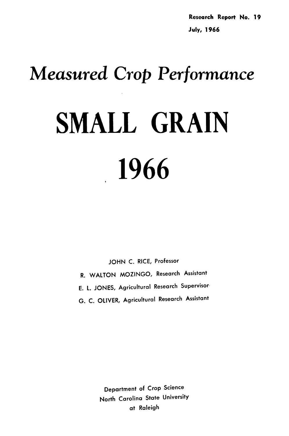Research Report No. 19 July, 1966

# *Measured Crop Performance* SMALL GRAIN

1966

JOHN C. RICE, Professor R. WALTON MOZINGO, Research Assistant E. L. JONES, Agricultural Research Supervisor-G. C. OLIVER, Agricultural Research Assistant

> Department of Crop Science North Carolina State University at Raleigh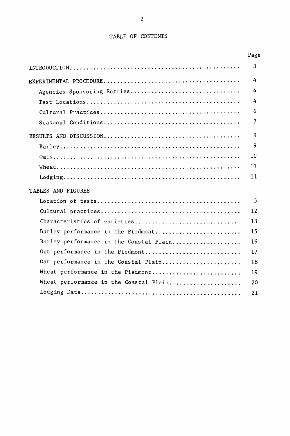### TABLE OF CONTENTS

|                                         | Page |
|-----------------------------------------|------|
|                                         | 3    |
|                                         | 4    |
| Agencies Sponsoring Entries             | 4    |
|                                         | 4    |
|                                         | 6    |
|                                         | 7    |
|                                         | 9    |
|                                         | 9    |
|                                         | 10   |
|                                         | 11   |
|                                         | 11   |
| TABLES AND FIGURES                      |      |
|                                         | 5    |
|                                         | 12   |
| Characteristics of varieties            | 13   |
| Barley performance in the Piedmont      | 15   |
| Barley performance in the Coastal Plain | 16   |
| Oat performance in the Piedmont         | 17   |
| Oat performance in the Coastal Plain    | 18   |
| Wheat performance in the Piedmont       | 19   |
| Wheat performance in the Coastal Plain  | 20   |
|                                         | 21   |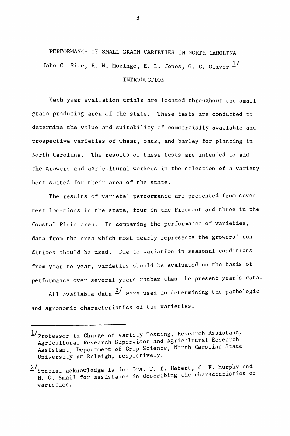PERFORMANCE OF SMALL GRAIN VARIETIES IN NORTH CAROLINA John C. Rice, R. W. Mozingo, E. L. Jones, G. C. Oliver  $\frac{1}{2}$ **INTRODUCTION** 

Each year evaluation trials are located throughout the small grain producing area of the state. These tests are conducted to determine the value and suitability of commercially available and prospective varieties of wheat, oats, and barley for planting in North Carolina. The results of these tests are intended to aid the growers and agricultural workers in the selection of a variety best suited for their area of the state.

The results of varietal performance are presented from seven test locations in the state, four in the Piedmont and three in the Coastal Plain area. In comparing the performance of varieties, data from the area which most nearly represents the growers' conditions should be used. Due to variation in seasonal conditions from year to year, varieties should be evaluated on the basis of performance over several years rather than the present year's data.

All available data  $\frac{2}{\mu}$  were used in determining the pathologic and agronomic characteristics of the varieties.

*l/professor* in Charge of Variety Testing, Research Assistant, Agricultural Research Supervisor and Agricultural Research Assistant, Department of Crop Science, North Carolina State University at Raleigh, respectively.

 $2/\text{Special}$  acknowledge is due Drs. T. T. Hebert, C. F. Murphy and H. G. Small for assistance in describing the characteristics of varieties.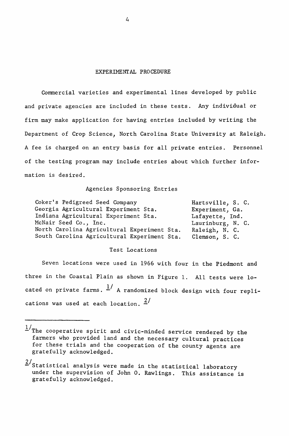#### EXPERIMENIAL PROCEDURE

Commercial varieties and experimental lines developed by public and private agencies are included in these tests. Any individual or firm may make application for having entries included by writing the Department of Crop Science, North Carolina State University at Raleigh. A fee is charged on an entry basis for all private entries. Personnel of the testing program may include entries about which further information is desired.

#### Agencies Sponsoring Entries

| Coker's Pedigreed Seed Company              | Hartsville, S. C. |
|---------------------------------------------|-------------------|
| Georgia Agricultural Experiment Sta.        | Experiment, Ga.   |
| Indiana Agricultural Experiment Sta.        | Lafayette, Ind.   |
| McNair Seed Co., Inc.                       | Laurinburg, N. C. |
| North Carolina Agricultural Experiment Sta. | Raleigh, N. C.    |
| South Carolina Agricultural Experiment Sta. | Clemson, S. C.    |

#### Test Locations

Seven locations were used in 1966 with four in the Piedmont and three in the Coastal Plain as shown in Figure 1. All tests were located on private farms.  $\frac{1}{4}$  A randomized block design with four replications was used at each location.  $\frac{2}{1}$ 

 $1/\tau$ he cooperative spirit and civic-minded service rendered by the farmers who provided land and the necessary cultural practices for these trials and the cooperation of the county agents are gratefully acknowledged.

 $2/\text{Statistical analysis}$  were made in the statistical laboratory under the supervision of John O. Rawlings. This assistance is gratefully acknowledged.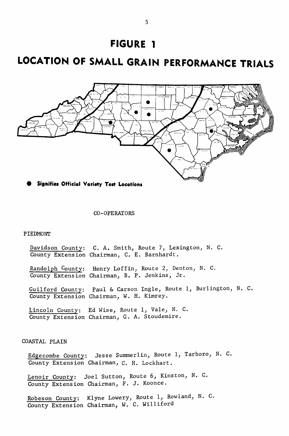## **FIGURE 1**

## **LOCATION OF SMALL GRAIN PERFORMANCE TRIALS**



 $\bullet$  Signifies Official Variety Test Locations

#### CO-OPERATORS

#### PIEDMONT

Davidson County: C. A. Smith, Route 7, Lexington, N. C. County Extension Chairman, C. E. Barnhardt.

Randolph County: Henry Loffin, Route 2, Denton, N. C. County Extension Chairman, B. P. Jenkins, Jr.

Guilford County: Paul & Carson Ingle, Route 1, Burlington, N. C. County Extension Chairman, W. H. Kimrey.

Lincoln County: Ed Wise, Route 1, Vale, N. C. County Extension Chairman, G. A. Stoudemire.

#### COASTAL PLAIN

Edgecombe County: Jesse Summerlin, Route 1, Tarboro, N. C. County Extension Chairman, C. H. Lockhart.

Lenoir County: Joel Sutton, Route 6, Kinston, N. C. County Extension Chairman, F. J. Koonce.

Robeson County: K1yne Lowery, Route I, Rowland, N. C. County Extension Chairman, W. C. Williford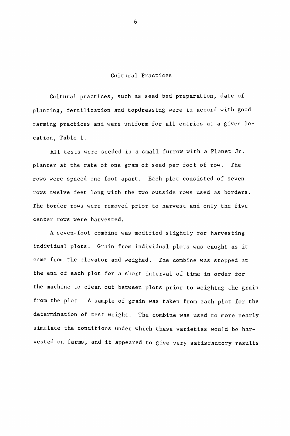#### Cultural Practices

Cultural practices, such as seed bed preparation, date of planting, fertilization and topdressing were in accord with good farming practices and were uniform for all entries at a given location, Table 1.

All tests were seeded in a small furrow with a Planet Jr. planter at the rate of one gram of seed per foot of row. The rows were spaced one foot apart. Each plot consisted of seven rows twelve feet long with the two outside rows used as borders. The border rows were removed prior to harvest and only the five center rows were harvested.

A seven-foot combine was modified slightly for harvesting individual plots. Grain from individual plots was caught as it came from the elevator and weighed. The combine was stopped at the end of each plot for a short interval of time in order for the machine to clean out between plots prior to weighing the grain from the plot. A sample of grain was taken from each plot for the determination of test weight. The combine was used to more nearly simulate the conditions under which these varieties would be harvested on farms, and it appeared to give very satisfactory results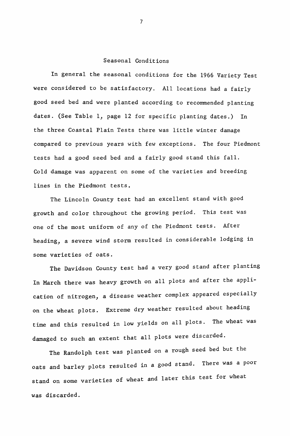#### Seasonal Conditions

In general the seasonal conditions for the 1966 Variety Test were considered to be satisfactory. All locations had a fairly good seed bed and were planted according to recommended planting dates. (See Table 1, page 12 for specific planting dates.) In the three Coastal Plain Tests there was little winter damage compared to previous years with few exceptions. The four Piedmont tests had a good seed bed and a fairly good stand this fall. Cold damage was apparent on some of the varieties and breeding lines in the Piedmont tests.

The Lincoln County test had an excellent stand with good growth and color throughout the growing period. This test was one of the most uniform of any of the Piedmont tests. After heading, a severe wind storm resulted in considerable lodging in some varieties of oats.

The Davidson County test had a very good stand after planting In March there was heavy growth on all plots and after the application of nitrogen, a disease weather complex appeared especially on the wheat plots. Extreme dry weather resulted about heading time and this resulted in low yields on all plots. The wheat was damaged to such an extent that all plots were discarded.

The Randolph test was planted on a rough seed bed but the oats and barley plots resulted in a good stand. There was a poor stand on some varieties of wheat and later this test for wheat was discarded.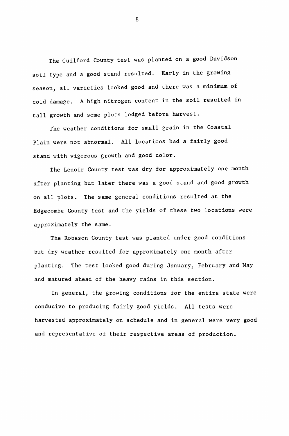The Guilford County test was planted on a good Davidson soil type and a good stand resulted. Early in the growing season, all varieties looked good and there was a minimum of cold damage. A high nitrogen content in the soil resulted in tall growth and some plots lodged before harvest.

The weather conditions for small grain in the Coastal Plain were not abnormal. All locations had a fairly good stand with vigorous growth and good color.

The Lenoir County test was dry for approximately one month after planting but later there was a good stand and good growth on all plots. The same general conditions resulted at the Edgecombe County test and the yields of these two locations were approximately the same.

The Robeson County test was planted under good conditions but dry weather resulted for approximately one month after planting. The test looked good during January, February and May and matured ahead of the heavy rains in this section.

In general, the growing conditions for the entire state were conducive to producing fairly good yields. All tests were harvested approximately on schedule and in general were very good and representative of their respective areas of production.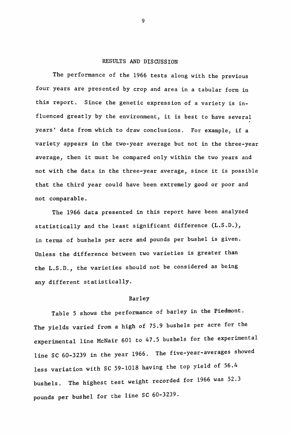#### RESULTS AND DISCUSSION

The performance of the 1966 tests along with the previous four years are presented by crop and area in a tabular form in this report. Since the genetic expression of a variety is influenced greatly by the environment, it is best to have several years' data from which to draw conclusions. For example, if a variety appears in the two-year average but not in the three-year average, then it must be compared only within the two years and not with the data in the three-year average, since it is possible that the third year could have been extremely good or poor and not comparable.

The 1966 data presented in this report have been analyzed statistically and the least significant difference (L.S.D.), in terms of bushels per acre and pounds per bushel is given. Unless the difference between two varieties is greater than the L.S.D., the varieties should not be considered as being any different statistically.

#### Barley

Table 5 shows the performance of barley in the Piedmont. The yields varied from a high of 75.9 bushels per acre for the experimental line McNair 601 to 47.5 bushels for the experimental line SC 60-3239 in the year 1966. The five-year-averages showed less variation with SC 59-1018 having the top yield of 56.4 bushels. The highest test weight recorded for 1966 was 52.3 pounds per bushel for the line SC 60-3239.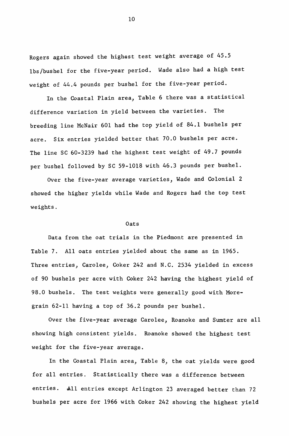Rogers again showed the highest test weight average of 45.5 lbs/bushel for the five-year period. Wade also had a high test weight of 44.4 pounds per bushel for the five-year period.

In the Coastal Plain area, Table 6 there was a statistical difference variation in yield between the varieties. The breeding line McNair 601 had the top yield of 84.1 bushels per acre. Six entries yielded better that 70.0 bushels per acre. The line SC 60-3239 had the highest test weight of 49.7 pounds per bushel followed by SC 59-1018 with 46.3 pounds per bushel.

Over the five-year average varieties, Wade and Colonial 2 showed the higher yields while Wade and Rogers had the top test weights.

#### Oats

Data from the oat trials in the Piedmont are presented in Table 7. All oats entries yielded about the same as in 1965. Three entries, Carolee, Coker 242 and N.C. 2534 yielded in excess of 90 bushels per acre with Coker 242 having the highest yield of 98.0 bushels. The test weights were generally good with Moregrain 62-11 having a top of 36.2 pounds per bushel.

Over the five-year average Carolee, Roanoke and Sumter are all showing high consistent yields. Roanoke showed the highest test weight for the five-year average.

In the Coastal Plain area, Table 8, the oat yields were good for all entries. Statistically there was a difference between entries. All entries except Arlington 23 averaged better than 72 bushels per acre for 1966 with Coker 242 showing the highest yield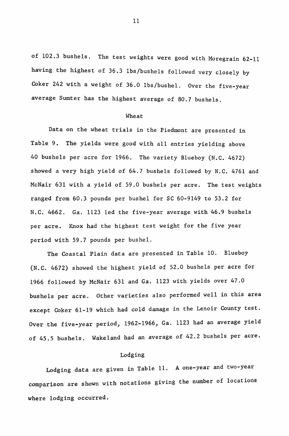of 102.3 bushels. The test weights were good with Moregrain 62-11 having the highest of 36.3 lbs/bushels followed very closely by Coker 242 with a weight of 36.0 lbs/bushel. Over the five-year average Sumter has the highest average of 80.7 bushels.

#### Wheat

Data on the wheat trials in the Piedmont are presented in Table 9. The yields were good with all entries yielding above 40 bushels per acre for 1966. The variety Blueboy (N.C. 4672) showed a very high yield of 64.7 bushels followed by N.C. 4761 and McNair 631 with a yield of 59.0 bushels per acre. The test weights ranged from 60.3 pounds per bushel for SC 60-9149 to 53.2 for N.C. 4662. Ga. 1123 led the five-year average with 46.9 bushels per acre. Knox had the highest test weight for the five year period with 59.7 pounds per bushel.

The Coastal Plain data are presented in Table 10. Blueboy (N.C. 4672) showed the highest yield of 52.0 bushels per acre for 1966 followed by McNair 631 and Ga. 1123 with yields over 47.0 bushels per acre. Other varieties also performed well in this area except Coker 61-19 which had cold damage in the Lenoir County test. Over the five-year period, 1962-1966, Ga. 1123 had an average yield of 45.5 bushels. Wakeland had an average of 42.2 bushels per acre.

#### Lodging

Lodging data are given in Table 11. A one-year and two-year comparison are shown with notations giving the number of locations where lodging occurred.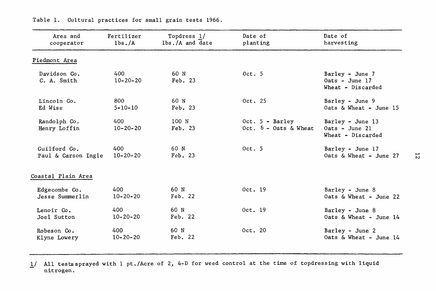| Area and                     | Fertilizer            | Topdress 1/      | Date of                                       | Date of                                                   |
|------------------------------|-----------------------|------------------|-----------------------------------------------|-----------------------------------------------------------|
| cooperator                   | lbs./A                | lbs./A and date  | planting                                      | harvesting                                                |
| Piedmont Area                |                       |                  |                                               |                                                           |
| Davidson Co.<br>C. A. Smith  | 400<br>$10 - 20 - 20$ | 60 N<br>Feb. 23  | 0ct.5                                         | Barley - June 7<br>$0ats - June 17$<br>Wheat - Discarded  |
| Lincoln Co.                  | 800                   | 60 N             | Oct. 25                                       | Barley - June 9                                           |
| Ed Wise                      | $5 - 10 - 10$         | Feb. 23          |                                               | Oats $\&$ Wheat - June 15                                 |
| Randolph Co.<br>Henry Loffin | 400<br>$10 - 20 - 20$ | 100 N<br>Feb. 23 | $Oct. 5 - Barley$<br>Oct. $6 - 0$ ats & Wheat | Barley - June 13<br>$0ats - June 21$<br>Wheat - Discarded |
| Guilford Co.                 | 400                   | 60 N             | 0ct.5                                         | Barley - June 17                                          |
| Paul & Carson Ingle          | $10 - 20 - 20$        | Feb. 23          |                                               | Oats & Wheat - June 27                                    |
| Coastal Plain Area           |                       |                  |                                               |                                                           |
| Edgecombe Co.                | 400                   | 60 N             | Oct. 19                                       | Barley - June 8                                           |
| Jesse Summerlin              | $10 - 20 - 20$        | Feb. 22          |                                               | Oats & Wheat - June 22                                    |
| Lenoir Co.                   | 400                   | 60 N             | Oct. 19                                       | Barley - June 8                                           |
| Joel Sutton                  | $10 - 20 - 20$        | Feb. 22          |                                               | Oats $\&$ Wheat - June 14                                 |
| Robeson Co.                  | 400                   | 60 N             | Oct. 20                                       | Barley - June 2                                           |
| Klyne Lowery                 | $10 - 20 - 20$        | Feb. 22          |                                               | Oats & Wheat - June 14                                    |

Table 1. Cultural practices for small grain tests 1966.

 $1/$  All tests sprayed with 1 pt./Acre of 2, 4-D for weed control at the time of topdressing with liquid nitrogen.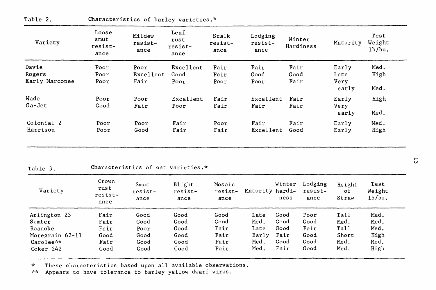| Variety                | Loose<br>smut<br>resist-<br>ance | Mildew<br>resist-<br>ance | Leaf<br>rust<br>resist-<br>ance | Scalk<br>resist-<br>ance | Lodging<br>resist-<br>ance | Winter<br>Hardiness | Maturity       | Test<br>Weight<br>1b/bu. |
|------------------------|----------------------------------|---------------------------|---------------------------------|--------------------------|----------------------------|---------------------|----------------|--------------------------|
| Davie                  | Poor                             | Poor                      | Excellent                       | Fair                     | Fair                       | Fair                | Early          | Med.                     |
| Rogers                 | Poor                             | Excellent                 | Good                            | Fair                     | Good                       | Good                | Late           | High                     |
| Early Marconee         | Poor                             | Fair                      | Poor                            | Poor                     | Poor                       | Fair                | Very<br>early  | Med.                     |
| Wade                   | Poor                             | Poor                      | Excellent                       | Fair                     | Excellent                  | Fair                | Early          | High                     |
| Ga-Jet                 | Good                             | Fair                      | Poor                            | Fair                     | Fair                       | Fair                | Very<br>early  | Med.                     |
| Colonial 2<br>Harrison | Poor<br>Poor                     | Poor<br>Good              | Fair<br>Fair                    | Poor<br>Fair             | Fair<br>Excellent          | Fair<br>Good        | Early<br>Early | Med.<br>High             |

Table 2. Characteristics of barley varieties.\*

#### Characteristics of oat varieties.\* Table 3.

| Variety         | Crown<br>rust<br>resist-<br>ance | Smut<br>resist-<br>ance | Blight<br>resist-<br>ance | Mosaic<br>resist-<br>ance | Maturity hardi- | Winter<br>ness | Lodging<br>resist-<br>ance | Height<br>оf<br>Straw | Test<br>Weight<br>1b/bu. |
|-----------------|----------------------------------|-------------------------|---------------------------|---------------------------|-----------------|----------------|----------------------------|-----------------------|--------------------------|
| Arlington 23    | Fair                             | Good                    | Good                      | Good                      | Late            | Good           | Poor                       | Tall                  | Med.                     |
| Sumter          | Fair                             | Good                    | Good                      | Good                      | Med.            | Good           | Good                       | Med.                  | Med.                     |
| Roanoke         | Fair                             | Poor                    | Good                      | Fair                      | Late            | Good           | Fair                       | Tall                  | Med.                     |
| Moregrain 62-11 | Good                             | Good                    | Good                      | Fair                      | Early           | Fair           | Good                       | Short                 | High                     |
| Carolee**       | Fair                             | Good                    | Good                      | Fair                      | Med.            | Good           | Good                       | Med.                  | Med.                     |
| Coker 242       | Good                             | Good                    | Good                      | Fair                      | Med.            | Fair           | Good                       | Med.                  | High                     |

 $\mathcal{H}$ These characteristics based upon all available observations.

Appears to have tolerance to barley yellow dwarf virus.  $2.25\%$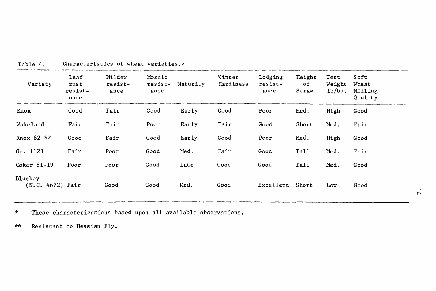| Variety                     | Leaf<br>rust<br>resist-<br>ance | Mildew<br>resist-<br>ance | Mosaic<br>resist-<br>ance | Maturity | Winter<br>Hardiness | Lodging<br>resist-<br>ance | Height<br>οf<br>Straw | Test<br>Weight<br>1b/bu. | Soft<br>Wheat<br>Milling<br>Quality |
|-----------------------------|---------------------------------|---------------------------|---------------------------|----------|---------------------|----------------------------|-----------------------|--------------------------|-------------------------------------|
| Knox                        | Good                            | Fair                      | Good                      | Early    | Good                | Poor                       | Med.                  | High                     | Good                                |
| Wakeland                    | Fair                            | Fair                      | Poor                      | Early    | Fair                | Good                       | Short                 | Med.                     | Fair                                |
| Knox 62 **                  | Good                            | Fair                      | Good                      | Early    | Good                | Poor                       | Med.                  | High                     | Good                                |
| Ga. 1123                    | Fair                            | Poor                      | Good                      | Med.     | Fair                | Good                       | Tall                  | Med.                     | Fair                                |
| Coker 61-19                 | Poor                            | Poor                      | Good                      | Late     | Good                | Good                       | Tall                  | Med.                     | Good                                |
| Blueboy<br>(N.C. 4672) Fair |                                 | Good                      | Good                      | Med.     | Good                | Excellent                  | Short                 | Low                      | Good                                |

Characteristics of wheat varieties.\* Table 4.

These characterizations based upon all available observations.  $\star$ 

 $\star\star$ Resistant to Hessian Fly.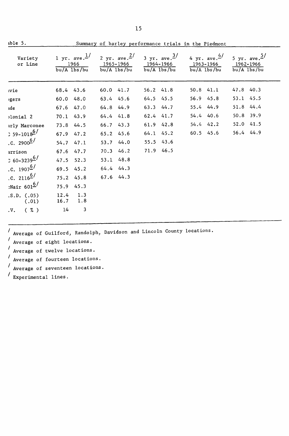| $ab1e$ 5.                   |                                                                                                                                                                                                                        | Summary of barley performance trials in the Piedmont |           |           |               |                                           |           |           |           |  |  |
|-----------------------------|------------------------------------------------------------------------------------------------------------------------------------------------------------------------------------------------------------------------|------------------------------------------------------|-----------|-----------|---------------|-------------------------------------------|-----------|-----------|-----------|--|--|
| Variety<br>or Line          | 1 yr. ave. $\frac{1}{2}$ 2 yr. ave. $\frac{2}{3}$ yr. ave. $\frac{3}{4}$ 4 yr. ave. $\frac{4}{5}$<br>1965-1966 1964-1966 1963-1966 1962-1966<br>1966<br>$\frac{bu}{A}$ lbs/bu $\frac{bu}{A}$ lbs/bu<br>$bu/A$ $1bs/bu$ |                                                      |           |           | $bu/A$ lbs/bu | 5 yr. ave. <sup>5/</sup><br>$bu/A$ lbs/bu |           |           |           |  |  |
| wie                         | 68.4 43.6                                                                                                                                                                                                              |                                                      | 60.0 41.7 |           | 56.2 41.8     | 50.8 41.1                                 |           | 47.8 40.3 |           |  |  |
| gers                        | 60.0 48.0                                                                                                                                                                                                              |                                                      | 63.4 45.6 |           | 64.5 45.5     |                                           | 56.9 45.8 | 53.1 45.5 |           |  |  |
| ıde                         | 67.6 47.0                                                                                                                                                                                                              |                                                      | 64.8 44.9 |           | 63.3 44.7     |                                           | 55.4 44.9 |           | 51.8 44.4 |  |  |
| >lonial 2                   | 70.1 43.9                                                                                                                                                                                                              |                                                      | 64.4 41.8 |           | 62.4 41.7     | 54.4 40.6                                 |           | 50.8 39.9 |           |  |  |
| irly Marconee               | 73.8 44.5                                                                                                                                                                                                              |                                                      | 66.7 43.3 |           | 61.9 42.8     |                                           | 54.4 42.2 | 52.0 41.5 |           |  |  |
| $: 59 - 1018$ <sup>6/</sup> | 67.9 47.2                                                                                                                                                                                                              |                                                      | 65.2 45.6 |           | 64.1 45.2     | 60.5 45.6                                 |           | 56.4 44.9 |           |  |  |
| .c. $2900^{6}$              | $54.7$ $47.1$                                                                                                                                                                                                          |                                                      | 53.7 44.0 | 55.5 43.6 |               |                                           |           |           |           |  |  |
| arrison                     | 67.6 47.7                                                                                                                                                                                                              |                                                      | 70.3 46.2 |           | 71.9 46.5     |                                           |           |           |           |  |  |
| $360 - 3239$ <sup>6/</sup>  | 47.5 52.3                                                                                                                                                                                                              |                                                      | 53.1 48.8 |           |               |                                           |           |           |           |  |  |
| .C. 1907 $\frac{6}{ }$      | 69.5 45.2                                                                                                                                                                                                              |                                                      | 64.4 44.3 |           |               |                                           |           |           |           |  |  |
| .c. $2116^{6/7}$            | 75.2 45.8                                                                                                                                                                                                              |                                                      | 67.6 44.3 |           |               |                                           |           |           |           |  |  |
| $:$ Nair 601 $^{6/}$        | 75.9 45.3                                                                                                                                                                                                              |                                                      |           |           |               |                                           |           |           |           |  |  |
| .S.D. (0.05)<br>(.01)       | $12.4$ 1.3<br>$16.7$ 1.8                                                                                                                                                                                               |                                                      |           |           |               |                                           |           |           |           |  |  |
| $.V.$ $( \% )$              | 14                                                                                                                                                                                                                     | 3                                                    |           |           |               |                                           |           |           |           |  |  |

/ Average of Guilford, Randolph, Davidson and Lincoln County locations.

 $\prime$ Average of eight locations.

7 Average of twelve locations.

Average of fourteen locations.

Average of seventeen locations.

Experimental lines.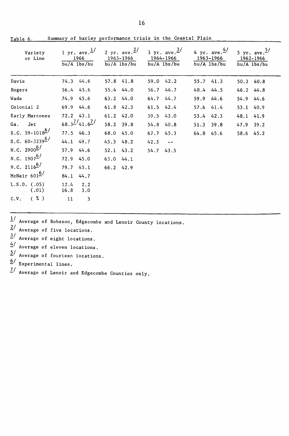| Variety<br>or Line         | 1 yr. ave. $\frac{1}{2}$<br>1966<br>$bu/A$ lbs/bu | 2 yr. ave. $\frac{2}{ }$<br>bu/A lbs/bu | 3 yr. ave. $\frac{3}{ }$<br>1965-1966 1964-1966 1963-1966 1962-1966<br>bu/A lbs/bu | 4 yr. ave. $4/$<br>bu/A lbs/bu | 5 yr. ave. $\frac{5}{3}$<br>$bu/A$ $1bs/bu$ |
|----------------------------|---------------------------------------------------|-----------------------------------------|------------------------------------------------------------------------------------|--------------------------------|---------------------------------------------|
| Davie                      | 74.3 44.6                                         | 57.8 41.8                               | 59.0 42.2                                                                          | 55.7 41.3                      | 50.3 40.8                                   |
| Rogers                     | 56.4 45.6                                         | 55.4 44.0                               | 56.7 44.7                                                                          | 48.4 44.5                      | 46.2 44.8                                   |
| Wade                       | 74.9 45.6                                         | 63.2 44.0                               | 64.7 44.7                                                                          | 59.9 44.6                      | 54.9 44.6                                   |
| Colonial 2                 | 69.9 44.6                                         | 61.8 42.3                               | 61.5 42.4                                                                          | 57.6 41.4                      | 53.1 40.9                                   |
| Early Marconee             | $72.2$ 43.1                                       | 61.2 42.0                               | 59.5 43.0                                                                          | 53.4 42.3                      | 48.1 41.9                                   |
| Ga. Jet                    | $68.3^{7/41.6^{7/}}$                              | 58.2 39.8                               | 54.8 40.8                                                                          | 51.3 39.8                      | 47.9 39.2                                   |
| S.C. 59-1018 <sup>6/</sup> | 77.5 46.3                                         | 68.0 45.0                               | 67.7 45.3                                                                          | 64.8 45.6                      | 58.6 45.2                                   |
| S.C. $60-3239^{6/}$        | 44.1 49.7                                         | 45.3 48.2                               | $42.3 - -$                                                                         |                                |                                             |
| N.C. 2900 $^{6/}$          | 57.9 44.6                                         | 52.1 43.2                               | 54.7 43.5                                                                          |                                |                                             |
| N.C. 1907 <sup>6/</sup>    | 72.9 45.0                                         | 63.044.1                                |                                                                                    |                                |                                             |
| N.C. 2116 <sup>6/</sup>    | 79.7<br>45.1                                      | 66.2 42.9                               |                                                                                    |                                |                                             |
| McNair $601^6$             | 84.1<br>44.7                                      |                                         |                                                                                    |                                |                                             |
| L.S.D. (0.05)<br>(.01)     | 12.4<br>2.2<br>16.8<br>3.0                        |                                         |                                                                                    |                                |                                             |
| ( %)<br>C.V.               | 11<br>3                                           |                                         |                                                                                    |                                |                                             |

Summary of barley performance trials in the Coastal Plain Table 6.

 $1/$  Average of Robeson, Edgecombe and Lenoir County locations.

- $2/$  Average of five locations.
- $\frac{3}{2}$  Average of eight locations.
- $4/$  Average of eleven locations.
- $\overline{2}$ / Average of fourteen locations.
- $6/$ Experimental lines.
- $\frac{7}{ }$ Average of Lenoir and Edgecombe Counties only.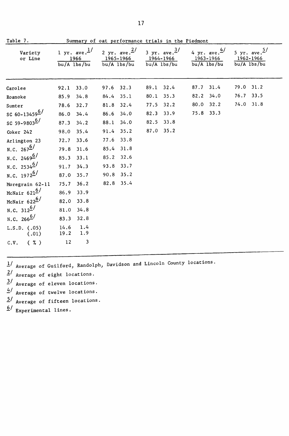| Table 7.                  |                                                 | Summary of oat performance trials in the Piedmont |                                                      |      |                                                                   |                            |                          |      |                                                      |
|---------------------------|-------------------------------------------------|---------------------------------------------------|------------------------------------------------------|------|-------------------------------------------------------------------|----------------------------|--------------------------|------|------------------------------------------------------|
| Variety<br>or Line        | 1 yr. ave. $\frac{1}{ }$<br>1966<br>bu/A 1bs/bu |                                                   | 2 yr. ave. $\frac{2}{ }$<br>1965-1966<br>bu/A lbs/bu |      | $3 \text{ yr}$ . ave. $\frac{3}{7}$<br>1964-1966<br>$bu/A$ lbs/bu | 1963-1966<br>$bu/A$ lbs/bu | 4 yr. ave. $\frac{4}{ }$ |      | 5 yr. ave. $\frac{5}{ }$<br>1962-1966<br>bu/A lbs/bu |
| Carolee                   | 33.0<br>92.1                                    | 97.6                                              | 32.3                                                 | 89.1 | 32.4                                                              | 87.7                       | 31.4                     | 79.0 | 31.2                                                 |
| Roanoke                   | 34.8<br>85.9                                    | 84.4                                              | 35.1                                                 | 80.1 | 35.3                                                              | 82.2                       | 34.0                     | 76.7 | 33.5                                                 |
| Sumter                    | 32.7<br>78.6                                    | 81.8                                              | 32.4                                                 | 77.5 | 32.2                                                              | 80.0                       | 32.2                     | 74.0 | 31.8                                                 |
| SC 60-13459 <sup>6/</sup> | 86.0<br>34.4                                    | 86.6                                              | 34.0                                                 | 82.3 | 33.9                                                              | 75.8 33.3                  |                          |      |                                                      |
| SC 59-9803 <sup>6/</sup>  | 34.2<br>87.3                                    | 88.1                                              | 34.0                                                 | 82.5 | 33.8                                                              |                            |                          |      |                                                      |
| Coker 242                 | 35.4<br>98.0                                    | 91.4                                              | 35.2                                                 | 87.0 | 35.2                                                              |                            |                          |      |                                                      |
| Arlington 23              | 33.6<br>72.7                                    | 77.6                                              | 33.8                                                 |      |                                                                   |                            |                          |      |                                                      |
| N.C. $267^{\frac{6}{}}$   | 79.8<br>31.6                                    | 85.4                                              | 31.8                                                 |      |                                                                   |                            |                          |      |                                                      |
| N.C. 24696/               | 85.3<br>33.1                                    | 85.2                                              | 32.6                                                 |      |                                                                   |                            |                          |      |                                                      |
| N.C. 2534 <sup>6/</sup>   | 91.7<br>34.3                                    | 93.8                                              | 33.7                                                 |      |                                                                   |                            |                          |      |                                                      |
| N.C. 1972 $^{6/}$         | 35.7<br>87.0                                    | 90.8                                              | 35.2                                                 |      |                                                                   |                            |                          |      |                                                      |
| Moregrain 62-11           | 75.7                                            | 82.8<br>36.2                                      | 35.4                                                 |      |                                                                   |                            |                          |      |                                                      |
| McNair $621^{6/}$         | 86.9<br>33.9                                    |                                                   |                                                      |      |                                                                   |                            |                          |      |                                                      |
| McNair $622^{6/}$         | 82.0                                            | 33.8                                              |                                                      |      |                                                                   |                            |                          |      |                                                      |
| N.C. $312^{6/}$           | 81.0                                            | 34.8                                              |                                                      |      |                                                                   |                            |                          |      |                                                      |
| N.C. 266 <sup>6/</sup>    | 83.3                                            | 32.8                                              |                                                      |      |                                                                   |                            |                          |      |                                                      |
| L.S.D. (0.05)<br>(.01)    | 14.6<br>19.2                                    | 1.4<br>1.9                                        |                                                      |      |                                                                   |                            |                          |      |                                                      |
| ( 7.)<br>C.V.             | 12                                              | 3                                                 |                                                      |      |                                                                   |                            |                          |      |                                                      |

 $1/$  Average of Guilford, Randolph, Davidson and Lincoln County locations.

 $2/$  Average of eight locations.

 $\frac{3}{4}$  Average of eleven locations.<br> $\frac{4}{4}$  Average of twelve locations.

 $\frac{4}{3}$  Average of twelve locations.<br> $\frac{5}{3}$  Average of fifteen locations

Average of fifteen locations.

 $\underline{6}$  / Experimental lines.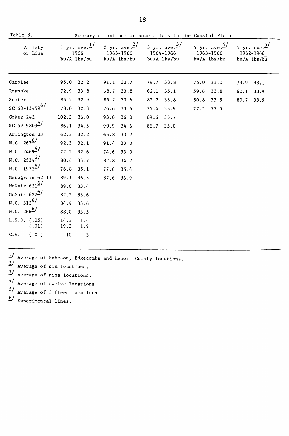| lable 8.                     | Summary of oat performance trials in the Coastal Plain |                                                     |      |                                                          |      |                                                                   |           |                                                        |           |                                                           |
|------------------------------|--------------------------------------------------------|-----------------------------------------------------|------|----------------------------------------------------------|------|-------------------------------------------------------------------|-----------|--------------------------------------------------------|-----------|-----------------------------------------------------------|
| Variety<br>or Line           |                                                        | 1 yr. ave. $\frac{1}{ }$<br>1966<br>$bu/A$ $1bs/bu$ |      | 2 yr. ave. $\frac{2}{ }$<br>1965-1966<br>$bu/A$ $1bs/bu$ |      | 3 yr. ave. $\frac{3}{7}$<br>1964–1966<br>$\overline{bu/A}$ lbs/bu |           | 4 yr. ave. $\frac{4}{3}$<br>1963–1966<br>$bu/A$ lbs/bu |           | 5 yr. ave. $\frac{5}{ }$<br>1962-1966<br>$bu/A$ lbs/ $bu$ |
| Carolee                      | 95.0                                                   | 32.2                                                | 91.1 | 32.7                                                     | 79.7 | 33.8                                                              | 75.0      | 33.0                                                   | 73.9 33.1 |                                                           |
| Roanoke                      | 72.9                                                   | 33.8                                                | 68.7 | 33.8                                                     | 62.1 | 35.1                                                              | 59.6      | 33.8                                                   | 60.1      | 33.9                                                      |
| Sumter                       | 85.2                                                   | 32.9                                                | 85.2 | 33.6                                                     | 82.2 | 33.8                                                              | 80.8      | 33.5                                                   | 80.7      | 33.5                                                      |
| SC 60-13459 $^{6/}$          | 78.0                                                   | 32.3                                                | 76.6 | 33.6                                                     | 75.4 | 33.9                                                              | 72.5 33.5 |                                                        |           |                                                           |
| Coker 242                    | 102.3                                                  | 36.0                                                | 93.6 | 36.0                                                     | 89.6 | 35.7                                                              |           |                                                        |           |                                                           |
| SC 59-98036/                 | 86.1                                                   | 34.5                                                | 90.9 | 34.6                                                     |      | 86.7 35.0                                                         |           |                                                        |           |                                                           |
| Arlington 23                 | 62.3                                                   | 32.2                                                | 65.8 | 33.2                                                     |      |                                                                   |           |                                                        |           |                                                           |
| N.C. $267^{\underline{6}}$   | 92.3                                                   | 32.1                                                | 91.4 | 33.0                                                     |      |                                                                   |           |                                                        |           |                                                           |
| N.C. 24696/                  | 72.2                                                   | 32.6                                                | 74.6 | 33.0                                                     |      |                                                                   |           |                                                        |           |                                                           |
| N.C. 25346/                  | 80.4                                                   | 33.7                                                | 82.8 | 34.2                                                     |      |                                                                   |           |                                                        |           |                                                           |
| N.C. 1972 $^{6/}$            | 76.8                                                   | 35.1                                                | 77.6 | 35.4                                                     |      |                                                                   |           |                                                        |           |                                                           |
| Moregrain 62-11              | 89.1                                                   | 36.3                                                | 87.6 | 36.9                                                     |      |                                                                   |           |                                                        |           |                                                           |
| McNair $621^6$               | 89.0                                                   | 33.4                                                |      |                                                          |      |                                                                   |           |                                                        |           |                                                           |
| McNair $622^{\underline{6}}$ | 82.5                                                   | 33.6                                                |      |                                                          |      |                                                                   |           |                                                        |           |                                                           |
| N.C. $312^{6/}$              | 84.9                                                   | 33.6                                                |      |                                                          |      |                                                                   |           |                                                        |           |                                                           |
| N.C. 266 <sup>6/</sup>       | 88.0                                                   | 33.5                                                |      |                                                          |      |                                                                   |           |                                                        |           |                                                           |
| L.S.D. (0.05)<br>(.01)       | 14.3<br>19.3                                           | 1.4<br>1.9                                          |      |                                                          |      |                                                                   |           |                                                        |           |                                                           |
| C.V.<br>( 7 <sub>o</sub> )   | 10                                                     | 3                                                   |      |                                                          |      |                                                                   |           |                                                        |           |                                                           |

- $\frac{1}{4}$  Average of Robeson, Edgecombe and Lenoir County locations.
- $2/$  Average of six locations.
- $\frac{3}{4}$  Average of nine locations.
- $\frac{4}{3}$  Average of twelve locations.
- $5/$  Average of fifteen locations.
- $6/$  Experimental lines.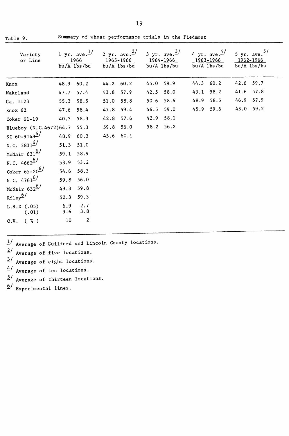| Variety<br>or Line       | $bu/A$ $1bs/bu$ | 1 yr. ave. $\frac{1}{ }$<br>1966 |           | 2 yr. ave. $\frac{2}{ }$<br>1965-1966<br>$bu/A$ lbs/bu | 1964–1966<br>$bu/A$ $1bs/bu$ | 3 yr. ave. $\frac{3}{ }$ | 1963–1966<br>$bu/A$ lbs/bu | 4 yr. ave. $4/$ | 1962-1966<br>bu/A lbs/bu | 5 yr. ave. $\frac{5}{ }$ |
|--------------------------|-----------------|----------------------------------|-----------|--------------------------------------------------------|------------------------------|--------------------------|----------------------------|-----------------|--------------------------|--------------------------|
| Knox                     | 48.9            | 60.2                             | 44.2      | 60.2                                                   | 45.0                         | 59.9                     | 44.3 60.2                  |                 | 42.6                     | 59.7                     |
| Wakeland                 | 47.7            | 57.4                             | 43.8      | 57.9                                                   | 42.5                         | 58.0                     | 43.1                       | 58.2            | 41.6                     | 57.8                     |
| Ga. 1123                 | 55.3            | 58.5                             | 51.0      | 58.8                                                   | 50.6                         | 58.6                     | 48.9                       | 58.5            | 46.9                     | 57.9                     |
| Knox 62                  | 47.6            | 58.4                             | 47.8      | 59.4                                                   | 46.5                         | 59.0                     | 45.9                       | 59.6            | 43.0                     | 59.2                     |
| $Coker 61-19$            | 40.3            | 58.3                             | 42.8      | 57.6                                                   | 42.9                         | 58.1                     |                            |                 |                          |                          |
| Blueboy (N.C.4672)64.7   |                 | 55.3                             | 59.8      | 56.0                                                   | 58.2 56.2                    |                          |                            |                 |                          |                          |
| SC 60-9149 $^{6/}$       | 48.9 60.3       |                                  | 45.6 60.1 |                                                        |                              |                          |                            |                 |                          |                          |
| N.C. 3831 <sup>6/</sup>  | 51.3            | 51.0                             |           |                                                        |                              |                          |                            |                 |                          |                          |
| McNair 631 <sup>6/</sup> | 59.1            | 58.9                             |           |                                                        |                              |                          |                            |                 |                          |                          |
| N.C. $4662^{6/7}$        | 53.9            | 53.2                             |           |                                                        |                              |                          |                            |                 |                          |                          |
| Coker $65-20^6$          | 54.6            | 58.3                             |           |                                                        |                              |                          |                            |                 |                          |                          |
| N.C. $4761^{6/7}$        | 59.8            | 56.0                             |           |                                                        |                              |                          |                            |                 |                          |                          |
| McNair $632^{6/}$        | 49.3            | 59.8                             |           |                                                        |                              |                          |                            |                 |                          |                          |
| $Ri1ey^6/$               | 52.3            | 59.3                             |           |                                                        |                              |                          |                            |                 |                          |                          |
| L.S.D. (0.05)<br>(.01)   | 6.9<br>9.6      | 2.7<br>3.8                       |           |                                                        |                              |                          |                            |                 |                          |                          |
| ( %)<br>C.V.             | 10              | $\overline{2}$                   |           |                                                        |                              |                          |                            |                 |                          |                          |

*1.1* Average of Guilford and Lincoln County locations.

 $\frac{2}{ }$  Average of five locations.

*11* Average of eight locations.

 $\frac{4}{5}$  Average of ten locations.<br> $\frac{5}{5}$  Average of thirteen locat *21* Average of thirteen locations.

 $\frac{6}{ }$  Experimental lines.

Table 9.

Summary of wheat performance trials in the Piedmont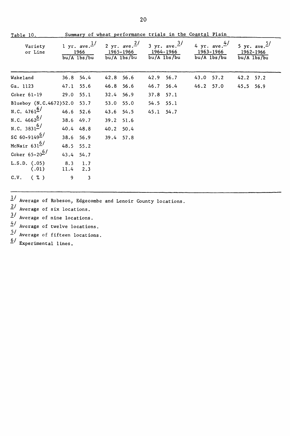| Table 10.                   |               |                                                   |           |                                                                                             |           | Summary of wheat performance trials in the Coastal Plain |           |                          |           |                                                          |
|-----------------------------|---------------|---------------------------------------------------|-----------|---------------------------------------------------------------------------------------------|-----------|----------------------------------------------------------|-----------|--------------------------|-----------|----------------------------------------------------------|
| Variety<br>or Line          |               | 1 yr. ave. $\frac{1}{ }$<br>1966<br>$bu/A$ lbs/bu |           | 2 yr. ave. $\frac{2}{ }$ 3 yr. ave. $\frac{3}{ }$<br>1965-1966 1964-1966<br>$bu/A$ $1bs/bu$ |           | $bu/A$ $1bs/bu$ $bu/A$ $1bs/bu$                          | 1963–1966 | 4 yr. ave. $\frac{4}{3}$ |           | 5 yr. ave. $\frac{5}{ }$<br>1962-1966<br>$bu/A$ $1bs/bu$ |
| Wakeland                    | $36.8$ $54.4$ |                                                   | 42.8 56.6 |                                                                                             | 42.9      | 56.7                                                     | 43.0 57.2 |                          | 42.2 57.2 |                                                          |
| Ga. 1123                    | 47.1 55.6     |                                                   | 46.8 56.6 |                                                                                             | 46.7      | 56.4                                                     | 46.2 57.0 |                          | 45.5      | 56.9                                                     |
| Coker 61-19                 | 29.0 55.1     |                                                   | 32.4 56.9 |                                                                                             | 37.8      | 57.1                                                     |           |                          |           |                                                          |
| Blueboy (N.C.4672)52.0 53.7 |               |                                                   | 53.0      | 55.0                                                                                        | 54.5 55.1 |                                                          |           |                          |           |                                                          |
| N.C. $4761^{6/7}$           | 46.6 52.6     |                                                   | 43.6      | 54.5                                                                                        | 45.1 54.7 |                                                          |           |                          |           |                                                          |
| N.C. $4662^{6/7}$           | 38.6 49.7     |                                                   | 39.2      | 51.6                                                                                        |           |                                                          |           |                          |           |                                                          |
| N.C. 3831 <sup>6</sup> /    | 40.4 48.8     |                                                   | 40.2      | 50.4                                                                                        |           |                                                          |           |                          |           |                                                          |
| SC 60-9149 <sup>6/</sup>    | 38.6 56.9     |                                                   | 39.4      | 57.8                                                                                        |           |                                                          |           |                          |           |                                                          |
| McNair $631^{6/}$           | 48.5 55.2     |                                                   |           |                                                                                             |           |                                                          |           |                          |           |                                                          |
| Coker $65 - 20^6$           | 43.4 54.7     |                                                   |           |                                                                                             |           |                                                          |           |                          |           |                                                          |
| $L.S.D.$ (.05)<br>(.01)     | 8.3<br>11.4   | 1.7<br>2.3                                        |           |                                                                                             |           |                                                          |           |                          |           |                                                          |
| $(\% )$<br>C.V.             | 9             | 3                                                 |           |                                                                                             |           |                                                          |           |                          |           |                                                          |

*1.1* Average of Robeson, Edgecombe and Lenoir County locations.

2/ Average of six locations.

*1/* Average of nine locations.

*!i/* Average of twelve locations.

 $5/$  Average of fifteen locations.

 $6/$  Experimental lines.